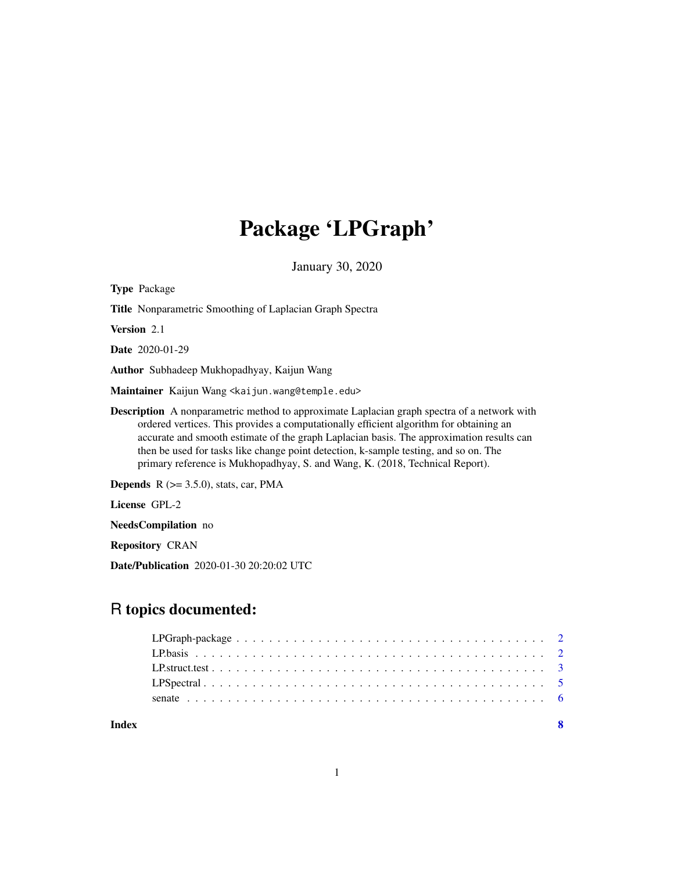# Package 'LPGraph'

January 30, 2020

| <b>Type Package</b>                                                                                                                                                                                                                                                                                                                                                                                                                                              |
|------------------------------------------------------------------------------------------------------------------------------------------------------------------------------------------------------------------------------------------------------------------------------------------------------------------------------------------------------------------------------------------------------------------------------------------------------------------|
| <b>Title</b> Nonparametric Smoothing of Laplacian Graph Spectra                                                                                                                                                                                                                                                                                                                                                                                                  |
| <b>Version</b> 2.1                                                                                                                                                                                                                                                                                                                                                                                                                                               |
| <b>Date</b> 2020-01-29                                                                                                                                                                                                                                                                                                                                                                                                                                           |
| Author Subhadeep Mukhopadhyay, Kaijun Wang                                                                                                                                                                                                                                                                                                                                                                                                                       |
| Maintainer Kaijun Wang <kaijun.wang@temple.edu></kaijun.wang@temple.edu>                                                                                                                                                                                                                                                                                                                                                                                         |
| <b>Description</b> A nonparametric method to approximate Laplacian graph spectra of a network with<br>ordered vertices. This provides a computationally efficient algorithm for obtaining an<br>accurate and smooth estimate of the graph Laplacian basis. The approximation results can<br>then be used for tasks like change point detection, k-sample testing, and so on. The<br>primary reference is Mukhopadhyay, S. and Wang, K. (2018, Technical Report). |
| <b>Depends</b> $R$ ( $> = 3.5.0$ ), stats, car, PMA                                                                                                                                                                                                                                                                                                                                                                                                              |
| License GPL-2                                                                                                                                                                                                                                                                                                                                                                                                                                                    |
| NeedsCompilation no                                                                                                                                                                                                                                                                                                                                                                                                                                              |
| <b>Repository CRAN</b>                                                                                                                                                                                                                                                                                                                                                                                                                                           |

Date/Publication 2020-01-30 20:20:02 UTC

# R topics documented:

| Index | -8 |
|-------|----|
|       |    |
|       |    |
|       |    |
|       |    |
|       |    |

1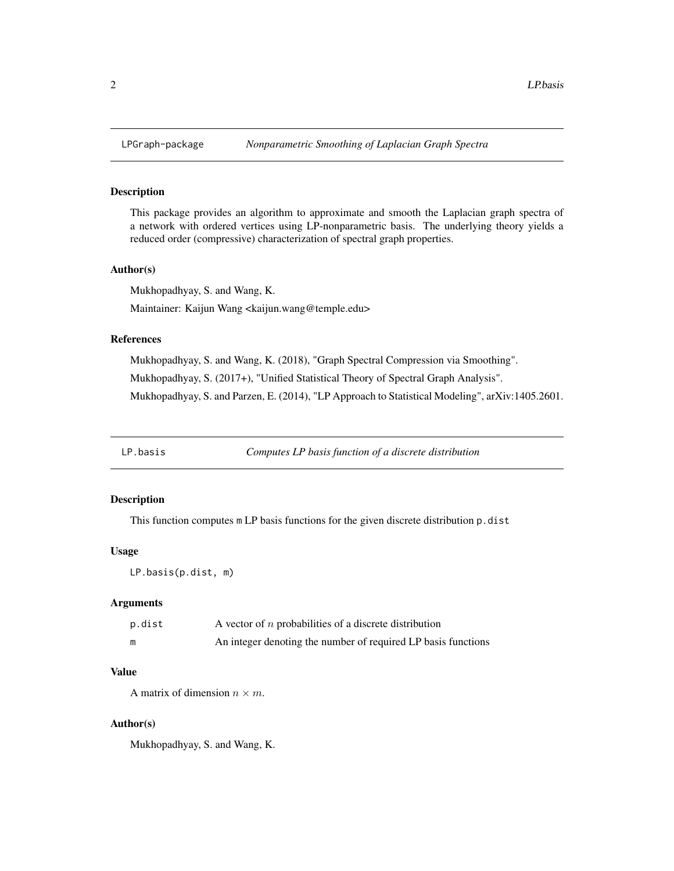# Description

This package provides an algorithm to approximate and smooth the Laplacian graph spectra of a network with ordered vertices using LP-nonparametric basis. The underlying theory yields a reduced order (compressive) characterization of spectral graph properties.

# Author(s)

Mukhopadhyay, S. and Wang, K. Maintainer: Kaijun Wang <kaijun.wang@temple.edu>

# References

Mukhopadhyay, S. and Wang, K. (2018), "Graph Spectral Compression via Smoothing". Mukhopadhyay, S. (2017+), "Unified Statistical Theory of Spectral Graph Analysis". Mukhopadhyay, S. and Parzen, E. (2014), "LP Approach to Statistical Modeling", arXiv:1405.2601.

LP.basis *Computes LP basis function of a discrete distribution*

#### Description

This function computes m LP basis functions for the given discrete distribution p.dist

#### Usage

LP.basis(p.dist, m)

#### Arguments

| p.dist | A vector of $n$ probabilities of a discrete distribution      |
|--------|---------------------------------------------------------------|
| m      | An integer denoting the number of required LP basis functions |

# Value

A matrix of dimension  $n \times m$ .

#### Author(s)

Mukhopadhyay, S. and Wang, K.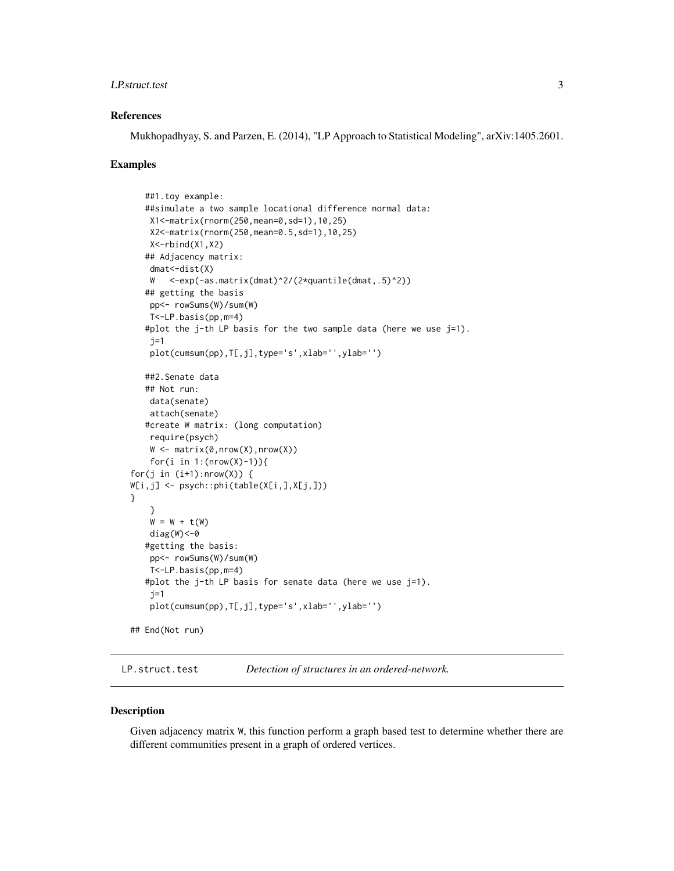#### <span id="page-2-0"></span>LP.struct.test 3

#### References

Mukhopadhyay, S. and Parzen, E. (2014), "LP Approach to Statistical Modeling", arXiv:1405.2601.

#### Examples

```
##1.toy example:
   ##simulate a two sample locational difference normal data:
   X1<-matrix(rnorm(250,mean=0,sd=1),10,25)
   X2<-matrix(rnorm(250,mean=0.5,sd=1),10,25)
   X<-rbind(X1,X2)
   ## Adjacency matrix:
   dmat < -dist(X)W <-exp(-as.matrix(dmat)^2/(2*quantile(dmat,.5)^2))
   ## getting the basis
   pp<- rowSums(W)/sum(W)
   T<-LP.basis(pp,m=4)
   #plot the j-th LP basis for the two sample data (here we use j=1).
   j=1plot(cumsum(pp),T[,j],type='s',xlab='',ylab='')
   ##2.Senate data
   ## Not run:
   data(senate)
   attach(senate)
   #create W matrix: (long computation)
   require(psych)
   W \leftarrow matrix(\emptyset, nrow(X), nrow(X))for(i in 1:(nrow(X)-1)){
for(j in (i+1):nrow(X)) {
W[i,j] <- psych::phi(table(X[i,],X[j,]))
}
    }
    W = W + t(W)diag(W) <-0
   #getting the basis:
   pp<- rowSums(W)/sum(W)
   T<-LP.basis(pp,m=4)
   #plot the j-th LP basis for senate data (here we use j=1).
    j=1plot(cumsum(pp),T[,j],type='s',xlab='',ylab='')
## End(Not run)
```
LP.struct.test *Detection of structures in an ordered-network.*

#### **Description**

Given adjacency matrix W, this function perform a graph based test to determine whether there are different communities present in a graph of ordered vertices.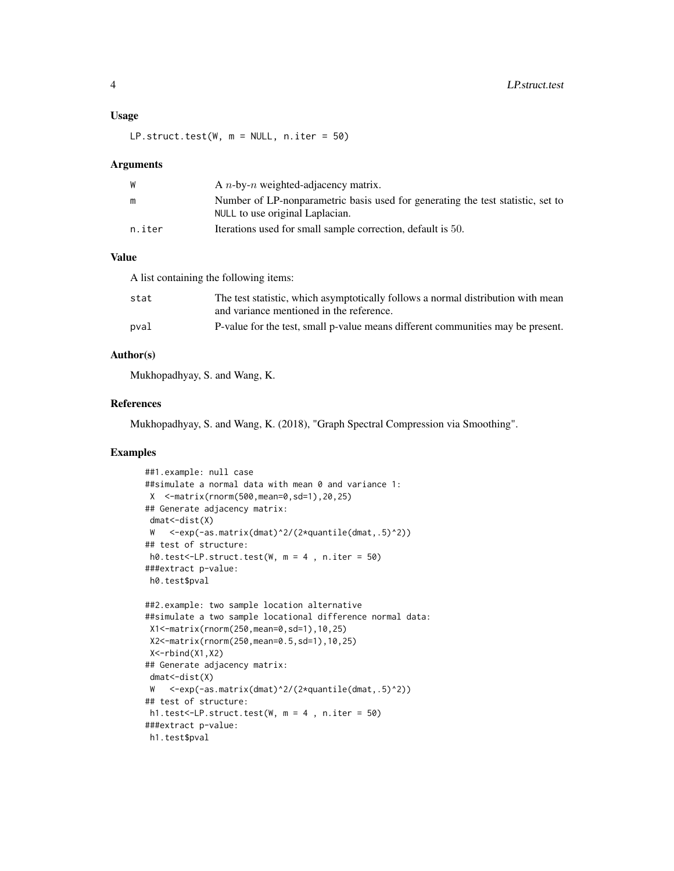#### Usage

 $LP.startuct.test(W, m = NULL, n.iter = 50)$ 

#### Arguments

| W      | A $n$ -by- $n$ weighted-adjacency matrix.                                       |
|--------|---------------------------------------------------------------------------------|
| m      | Number of LP-nonparametric basis used for generating the test statistic, set to |
|        | NULL to use original Laplacian.                                                 |
| n.iter | Iterations used for small sample correction, default is 50.                     |
|        |                                                                                 |

# Value

A list containing the following items:

| stat | The test statistic, which asymptotically follows a normal distribution with mean |
|------|----------------------------------------------------------------------------------|
|      | and variance mentioned in the reference.                                         |
| pval | P-value for the test, small p-value means different communities may be present.  |

### Author(s)

Mukhopadhyay, S. and Wang, K.

#### References

Mukhopadhyay, S. and Wang, K. (2018), "Graph Spectral Compression via Smoothing".

# Examples

```
##1.example: null case
##simulate a normal data with mean 0 and variance 1:
X <-matrix(rnorm(500,mean=0,sd=1),20,25)
## Generate adjacency matrix:
dmat<-dist(X)
W <-exp(-as.matrix(dmat)^2/(2*quantile(dmat,.5)^2))
## test of structure:
h0.test<-LP.struct.test(W, m = 4 , n.iter = 50)
###extract p-value:
h0.test$pval
##2.example: two sample location alternative
##simulate a two sample locational difference normal data:
X1<-matrix(rnorm(250,mean=0,sd=1),10,25)
X2<-matrix(rnorm(250,mean=0.5,sd=1),10,25)
X<-rbind(X1,X2)
## Generate adjacency matrix:
dmat < -dist(X)W <-exp(-as.matrix(dmat)^2/(2*quantile(dmat,.5)^2))
## test of structure:
h1.test<-LP.struct.test(W, m = 4 , n.iter = 50)
###extract p-value:
h1.test$pval
```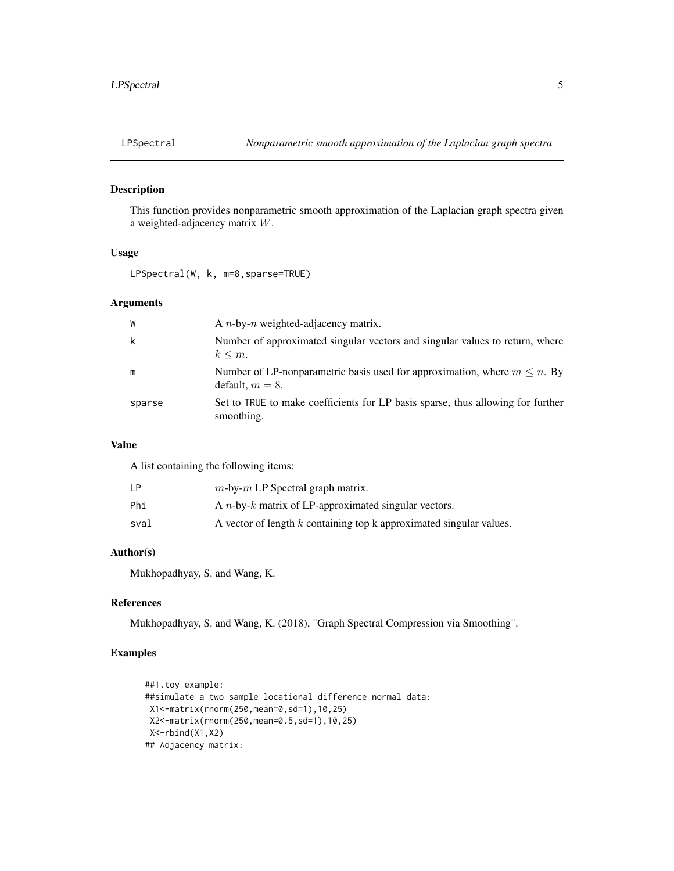<span id="page-4-0"></span>

# Description

This function provides nonparametric smooth approximation of the Laplacian graph spectra given a weighted-adjacency matrix W.

# Usage

LPSpectral(W, k, m=8,sparse=TRUE)

# Arguments

| W      | A <i>n</i> -by- <i>n</i> weighted-adjacency matrix.                                                  |
|--------|------------------------------------------------------------------------------------------------------|
| k      | Number of approximated singular vectors and singular values to return, where<br>$k \leq m$ .         |
| m      | Number of LP-nonparametric basis used for approximation, where $m \leq n$ . By<br>default, $m = 8$ . |
| sparse | Set to TRUE to make coefficients for LP basis sparse, thus allowing for further<br>smoothing.        |

## Value

A list containing the following items:

| LP   | $m$ -by- $m$ LP Spectral graph matrix.                                  |
|------|-------------------------------------------------------------------------|
| Phi  | A <i>n</i> -by- $k$ matrix of LP-approximated singular vectors.         |
| sval | A vector of length $k$ containing top $k$ approximated singular values. |

# Author(s)

Mukhopadhyay, S. and Wang, K.

# References

Mukhopadhyay, S. and Wang, K. (2018), "Graph Spectral Compression via Smoothing".

# Examples

```
##1.toy example:
##simulate a two sample locational difference normal data:
X1<-matrix(rnorm(250,mean=0,sd=1),10,25)
X2<-matrix(rnorm(250,mean=0.5,sd=1),10,25)
X<-rbind(X1,X2)
## Adjacency matrix:
```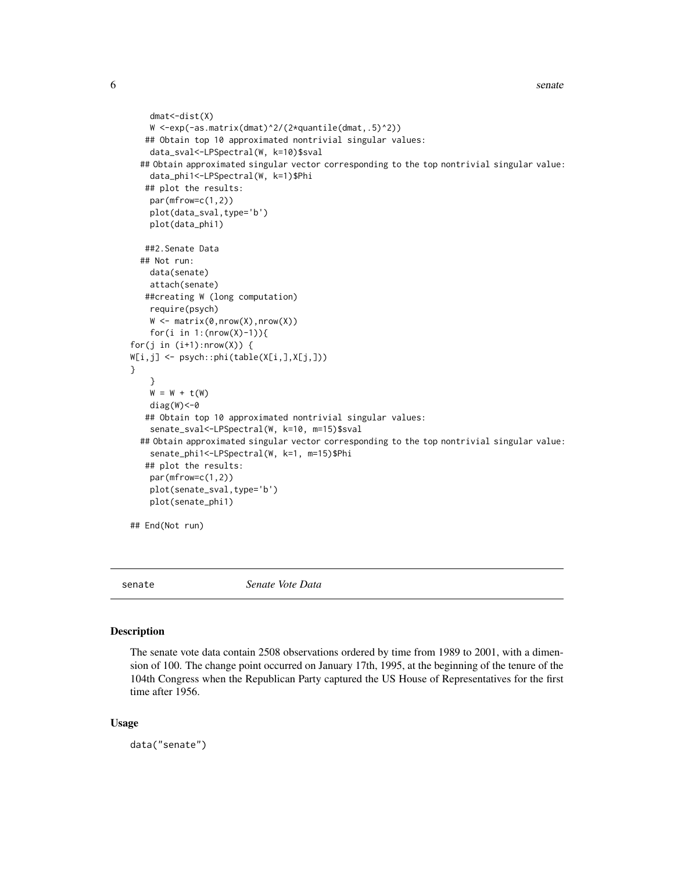```
dmat<-dist(X)
   W <-exp(-as.matrix(dmat)^2/(2*quantile(dmat,.5)^2))
   ## Obtain top 10 approximated nontrivial singular values:
    data_sval<-LPSpectral(W, k=10)$sval
  ## Obtain approximated singular vector corresponding to the top nontrivial singular value:
    data_phi1<-LPSpectral(W, k=1)$Phi
   ## plot the results:
    par(mfrow=c(1,2))
   plot(data_sval,type='b')
   plot(data_phi1)
   ##2.Senate Data
 ## Not run:
   data(senate)
    attach(senate)
   ##creating W (long computation)
   require(psych)
   W <- matrix(0,nrow(X),nrow(X))
    for(i in 1: (nrow(X)-1)){
for(j in (i+1):nrow(X)) {
W[i,j] <- psych::phi(table(X[i,],X[j,]))
}
    }
   W = W + t(W)diag(W)<-0
   ## Obtain top 10 approximated nontrivial singular values:
    senate_sval<-LPSpectral(W, k=10, m=15)$sval
  ## Obtain approximated singular vector corresponding to the top nontrivial singular value:
    senate_phi1<-LPSpectral(W, k=1, m=15)$Phi
   ## plot the results:
   par(mfrow=c(1,2))
   plot(senate_sval,type='b')
   plot(senate_phi1)
## End(Not run)
```
senate *Senate Vote Data*

#### Description

The senate vote data contain 2508 observations ordered by time from 1989 to 2001, with a dimension of 100. The change point occurred on January 17th, 1995, at the beginning of the tenure of the 104th Congress when the Republican Party captured the US House of Representatives for the first time after 1956.

#### Usage

data("senate")

<span id="page-5-0"></span>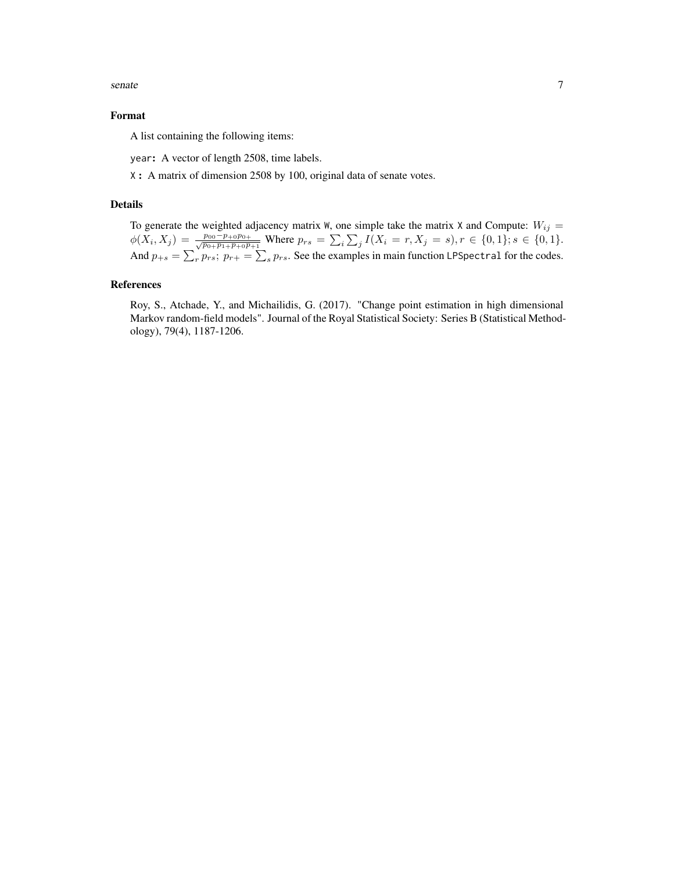senate 7 and 7 and 7 and 7 and 7 and 7 and 7 and 7 and 7 and 7 and 7 and 7 and 7 and 7 and 7 and 7 and 7 and 7

#### Format

A list containing the following items:

year: A vector of length 2508, time labels.

X : A matrix of dimension 2508 by 100, original data of senate votes.

# Details

To generate the weighted adjacency matrix W, one simple take the matrix X and Compute:  $W_{ij} =$  $\phi(X_i, X_j) = \frac{p_{00} - p_{+0}p_{0+}}{\sqrt{p_{0+}p_{1+}p_{+0}p_{+1}}}$  Where  $p_{rs} = \sum_i \sum_j I(X_i = r, X_j = s)$ ,  $r \in \{0, 1\}$ ;  $s \in \{0, 1\}$ . And  $p_{+s} = \sum_{r} p_{rs}$ ;  $p_{r+} = \sum_{s} p_{rs}$ . See the examples in main function LPSpectral for the codes.

#### References

Roy, S., Atchade, Y., and Michailidis, G. (2017). "Change point estimation in high dimensional Markov random-field models". Journal of the Royal Statistical Society: Series B (Statistical Methodology), 79(4), 1187-1206.